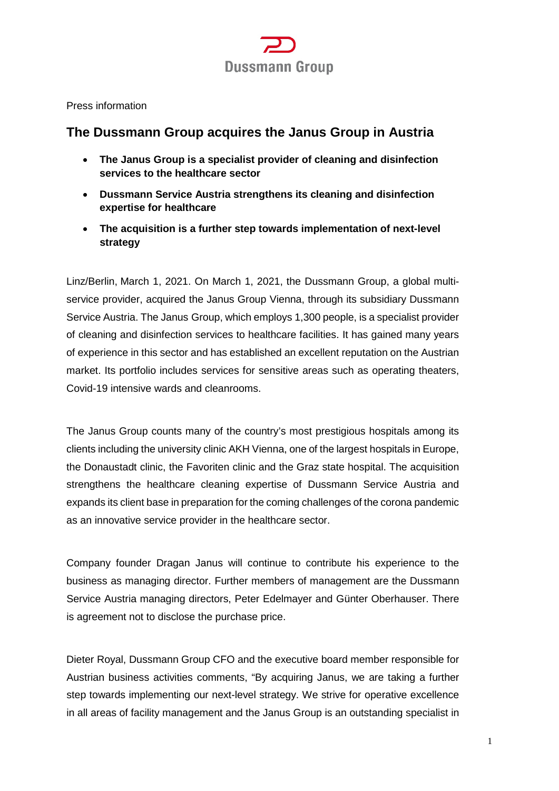

#### Press information

# **The Dussmann Group acquires the Janus Group in Austria**

- **The Janus Group is a specialist provider of cleaning and disinfection services to the healthcare sector**
- **Dussmann Service Austria strengthens its cleaning and disinfection expertise for healthcare**
- **The acquisition is a further step towards implementation of next-level strategy**

Linz/Berlin, March 1, 2021. On March 1, 2021, the Dussmann Group, a global multiservice provider, acquired the Janus Group Vienna, through its subsidiary Dussmann Service Austria. The Janus Group, which employs 1,300 people, is a specialist provider of cleaning and disinfection services to healthcare facilities. It has gained many years of experience in this sector and has established an excellent reputation on the Austrian market. Its portfolio includes services for sensitive areas such as operating theaters, Covid-19 intensive wards and cleanrooms.

The Janus Group counts many of the country's most prestigious hospitals among its clients including the university clinic AKH Vienna, one of the largest hospitals in Europe, the Donaustadt clinic, the Favoriten clinic and the Graz state hospital. The acquisition strengthens the healthcare cleaning expertise of Dussmann Service Austria and expands its client base in preparation for the coming challenges of the corona pandemic as an innovative service provider in the healthcare sector.

Company founder Dragan Janus will continue to contribute his experience to the business as managing director. Further members of management are the Dussmann Service Austria managing directors, Peter Edelmayer and Günter Oberhauser. There is agreement not to disclose the purchase price.

Dieter Royal, Dussmann Group CFO and the executive board member responsible for Austrian business activities comments, "By acquiring Janus, we are taking a further step towards implementing our next-level strategy. We strive for operative excellence in all areas of facility management and the Janus Group is an outstanding specialist in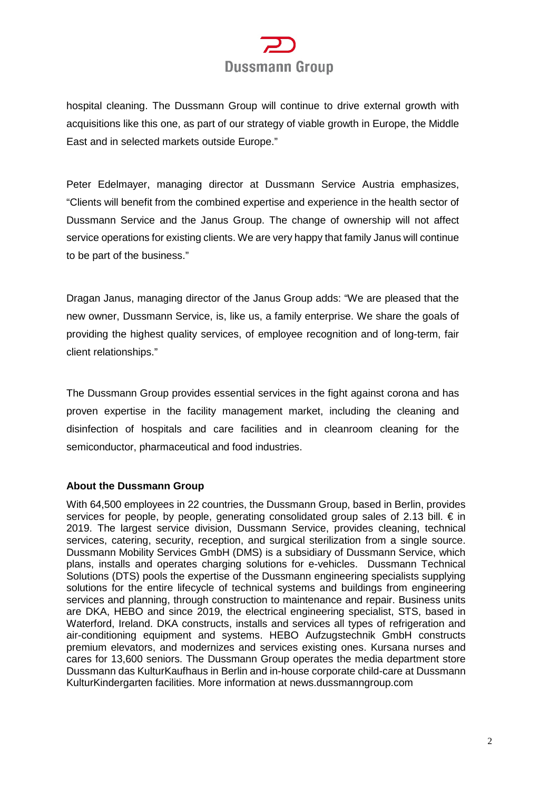# **Dussmann Group**

hospital cleaning. The Dussmann Group will continue to drive external growth with acquisitions like this one, as part of our strategy of viable growth in Europe, the Middle East and in selected markets outside Europe."

Peter Edelmayer, managing director at Dussmann Service Austria emphasizes, "Clients will benefit from the combined expertise and experience in the health sector of Dussmann Service and the Janus Group. The change of ownership will not affect service operations for existing clients. We are very happy that family Janus will continue to be part of the business."

Dragan Janus, managing director of the Janus Group adds: "We are pleased that the new owner, Dussmann Service, is, like us, a family enterprise. We share the goals of providing the highest quality services, of employee recognition and of long-term, fair client relationships."

The Dussmann Group provides essential services in the fight against corona and has proven expertise in the facility management market, including the cleaning and disinfection of hospitals and care facilities and in cleanroom cleaning for the semiconductor, pharmaceutical and food industries.

# **About the Dussmann Group**

With 64,500 employees in 22 countries, the Dussmann Group, based in Berlin, provides services for people, by people, generating consolidated group sales of 2.13 bill.  $\epsilon$  in 2019. The largest service division, Dussmann Service, provides cleaning, technical services, catering, security, reception, and surgical sterilization from a single source. Dussmann Mobility Services GmbH (DMS) is a subsidiary of Dussmann Service, which plans, installs and operates charging solutions for e-vehicles. Dussmann Technical Solutions (DTS) pools the expertise of the Dussmann engineering specialists supplying solutions for the entire lifecycle of technical systems and buildings from engineering services and planning, through construction to maintenance and repair. Business units are DKA, HEBO and since 2019, the electrical engineering specialist, STS, based in Waterford, Ireland. DKA constructs, installs and services all types of refrigeration and air-conditioning equipment and systems. HEBO Aufzugstechnik GmbH constructs premium elevators, and modernizes and services existing ones. Kursana nurses and cares for 13,600 seniors. The Dussmann Group operates the media department store Dussmann das KulturKaufhaus in Berlin and in-house corporate child-care at Dussmann KulturKindergarten facilities. More information at news.dussmanngroup.com